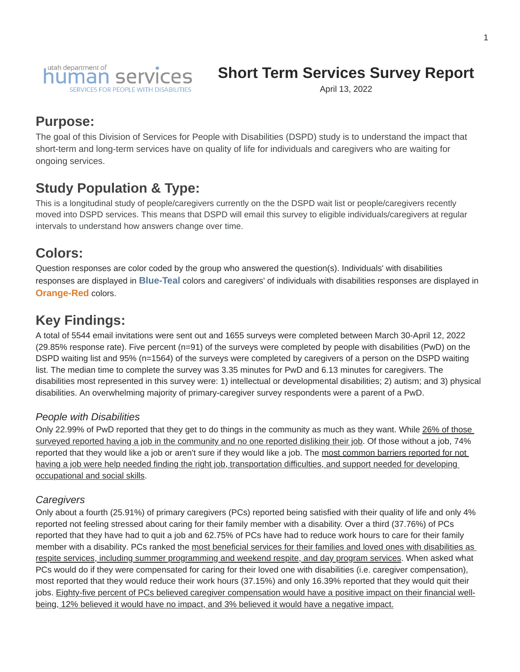

# **Short Term Services Survey Report**

April 13, 2022

### **Purpose:**

The goal of this Division of Services for People with Disabilities (DSPD) study is to understand the impact that short-term and long-term services have on quality of life for individuals and caregivers who are waiting for ongoing services.

### **Study Population & Type:**

This is a longitudinal study of people/caregivers currently on the the DSPD wait list or people/caregivers recently moved into DSPD services. This means that DSPD will email this survey to eligible individuals/caregivers at regular intervals to understand how answers change over time.

### **Colors:**

Question responses are color coded by the group who answered the question(s). Individuals' with disabilities responses are displayed in **Blue-Teal** colors and caregivers' of individuals with disabilities responses are displayed in **Orange-Red** colors.

## **Key Findings:**

A total of 5544 email invitations were sent out and 1655 surveys were completed between March 30-April 12, 2022 (29.85% response rate). Five percent (n=91) of the surveys were completed by people with disabilities (PwD) on the DSPD waiting list and 95% (n=1564) of the surveys were completed by caregivers of a person on the DSPD waiting list. The median time to complete the survey was 3.35 minutes for PwD and 6.13 minutes for caregivers. The disabilities most represented in this survey were: 1) intellectual or developmental disabilities; 2) autism; and 3) physical disabilities. An overwhelming majority of primary-caregiver survey respondents were a parent of a PwD.

#### *People with Disabilities*

Only 22.99% of PwD reported that they get to do things in the community as much as they want. While 26% of those surveyed reported having a job in the community and no one reported disliking their job. Of those without a job, 74% reported that they would like a job or aren't sure if they would like a job. The most common barriers reported for not having a job were help needed finding the right job, transportation difficulties, and support needed for developing occupational and social skills.

#### *Caregivers*

Only about a fourth (25.91%) of primary caregivers (PCs) reported being satisfied with their quality of life and only 4% reported not feeling stressed about caring for their family member with a disability. Over a third (37.76%) of PCs reported that they have had to quit a job and 62.75% of PCs have had to reduce work hours to care for their family member with a disability. PCs ranked the most beneficial services for their families and loved ones with disabilities as respite services, including summer programming and weekend respite, and day program services. When asked what PCs would do if they were compensated for caring for their loved one with disabilities (i.e. caregiver compensation), most reported that they would reduce their work hours (37.15%) and only 16.39% reported that they would quit their jobs. Eighty-five percent of PCs believed caregiver compensation would have a positive impact on their financial wellbeing, 12% believed it would have no impact, and 3% believed it would have a negative impact.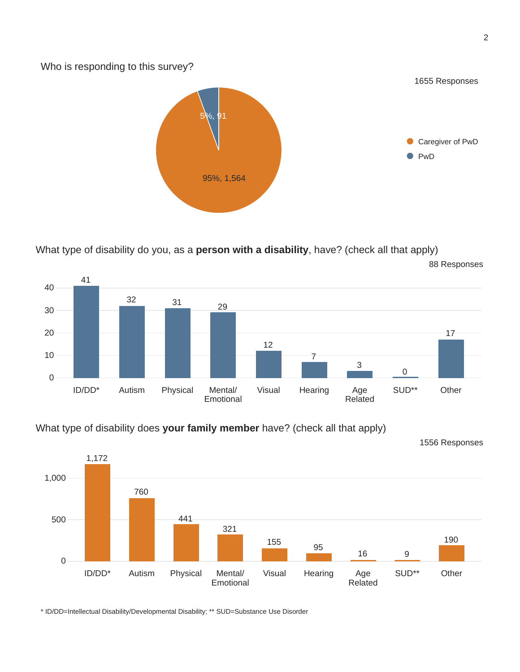Who is responding to this survey?



What type of disability do you, as a **person with a disability**, have? (check all that apply)



#### What type of disability does **your family member** have? (check all that apply)



\* ID/DD=Intellectual Disability/Developmental Disability; \*\* SUD=Substance Use Disorder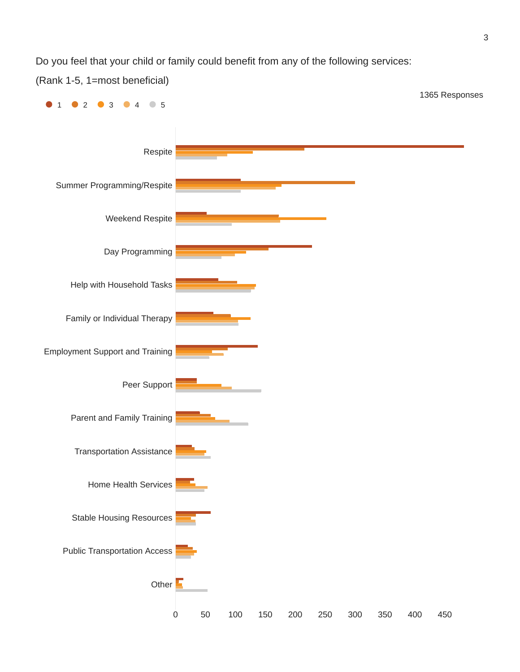Do you feel that your child or family could benefit from any of the following services:

(Rank 1-5, 1=most beneficial)

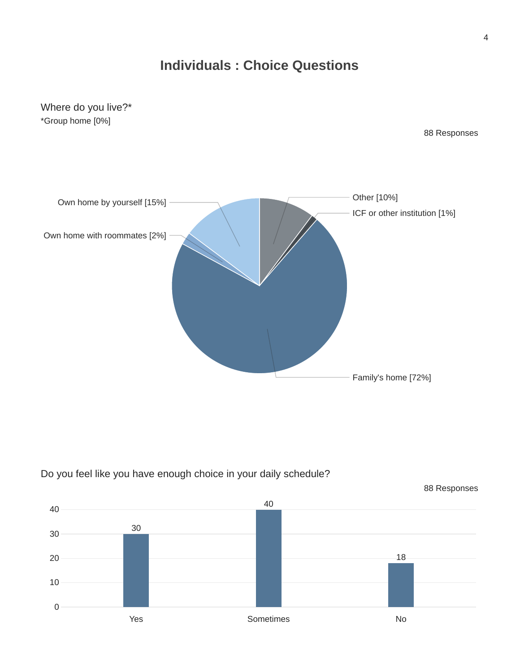## **Individuals : Choice Questions**

Where do you live?\* \*Group home [0%]

88 Responses





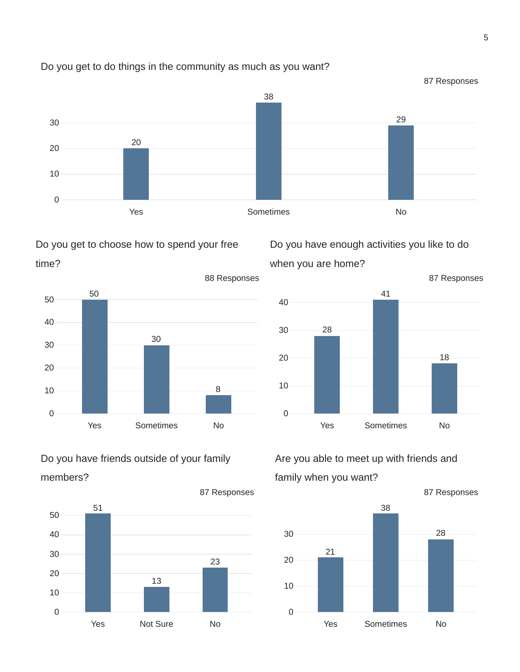

#### Do you get to do things in the community as much as you want?





### Do you have friends outside of your family members?



Do you have enough activities you like to do when you are home?



### Are you able to meet up with friends and family when you want?

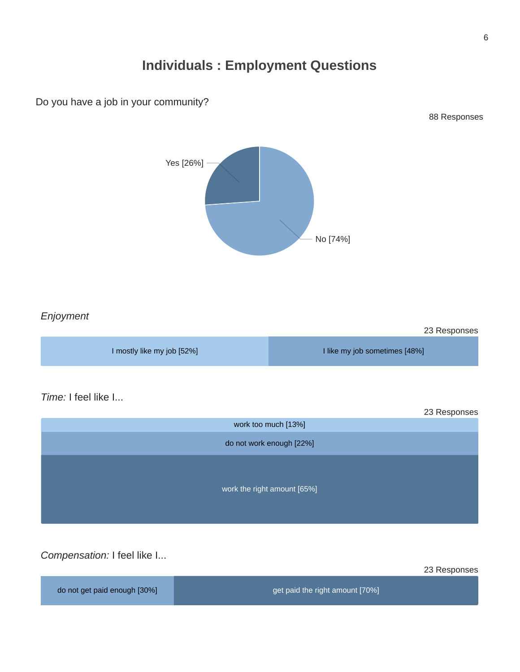## **Individuals : Employment Questions**



*Time:* I feel like I...

Do you have a job in your community?

|                             | 23 Responses |
|-----------------------------|--------------|
| work too much [13%]         |              |
| do not work enough [22%]    |              |
| work the right amount [65%] |              |

*Compensation:* I feel like I...

23 Responses

88 Responses

do not get paid enough [30%] get paid the right amount [70%]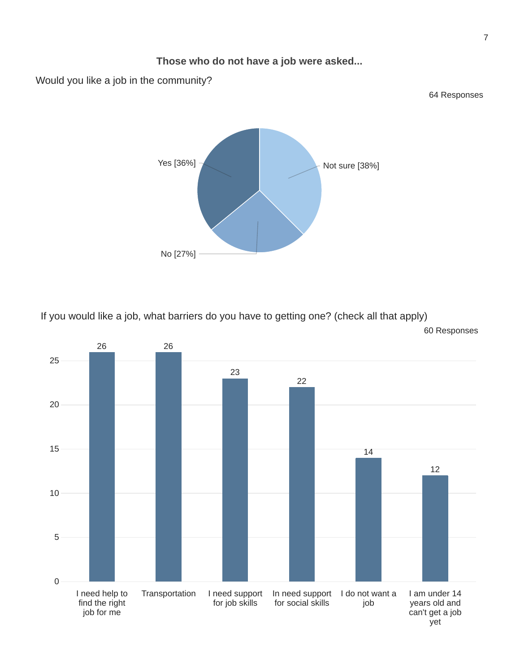

If you would like a job, what barriers do you have to getting one? (check all that apply) 60 Responses

No [27%]



7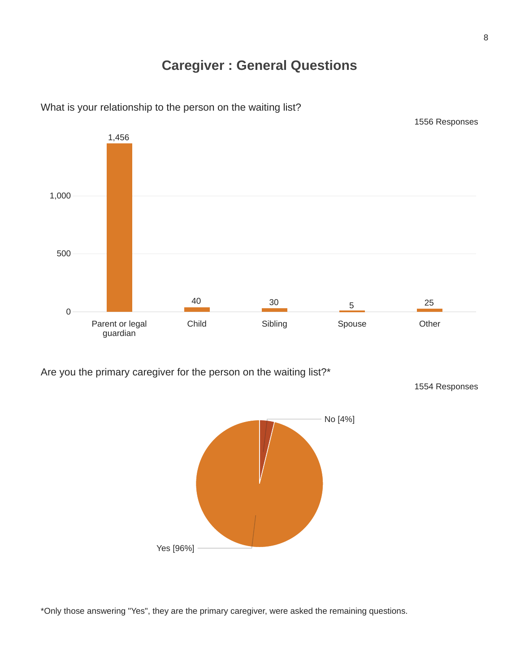## **Caregiver : General Questions**



What is your relationship to the person on the waiting list?

Are you the primary caregiver for the person on the waiting list?\*

1554 Responses



\*Only those answering "Yes", they are the primary caregiver, were asked the remaining questions.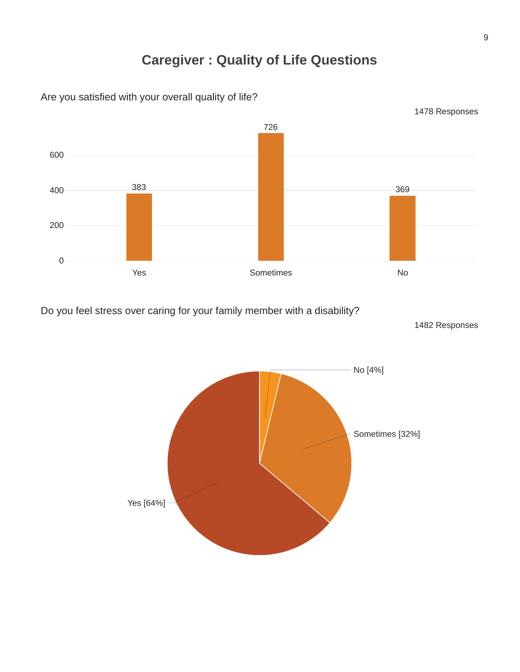## **Caregiver : Quality of Life Questions**



Are you satisfied with your overall quality of life?

Do you feel stress over caring for your family member with a disability?

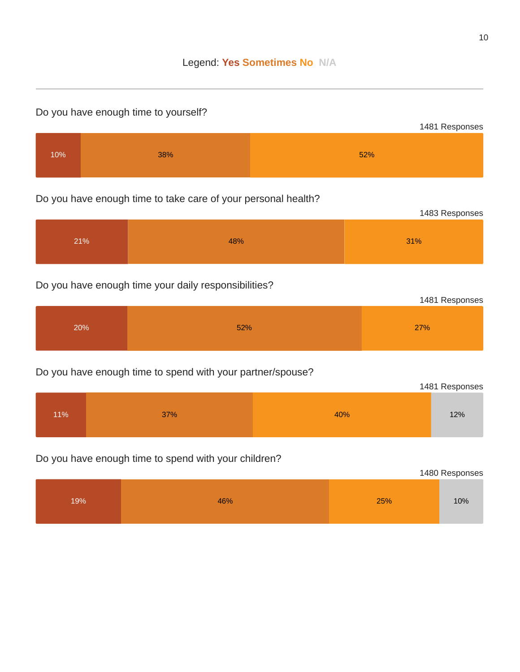#### Do you have enough time to yourself?



### Do you have enough time to take care of your personal health?



#### Do you have enough time your daily responsibilities?

|     |     | 1481 Responses |
|-----|-----|----------------|
| 20% | 52% | 27%            |

#### Do you have enough time to spend with your partner/spouse?

|     | 1481 Responses |     |     |
|-----|----------------|-----|-----|
| 11% | 37%            | 40% | 12% |

### Do you have enough time to spend with your children?

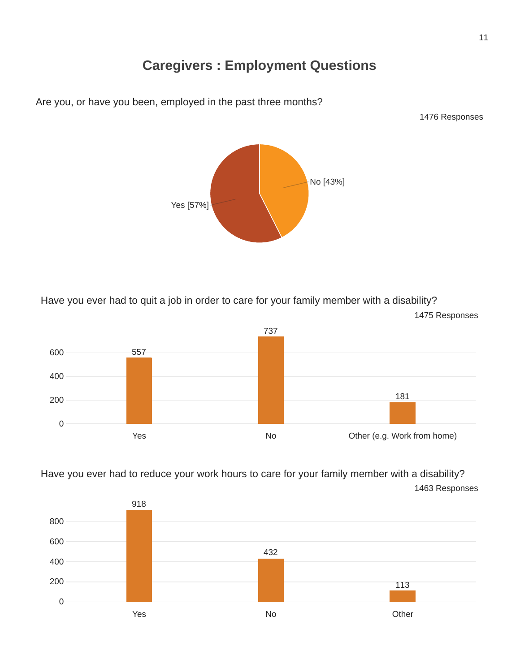## **Caregivers : Employment Questions**



No [43%]



Have you ever had to reduce your work hours to care for your family member with a disability? Responses



Are you, or have you been, employed in the past three months?

Yes [57%]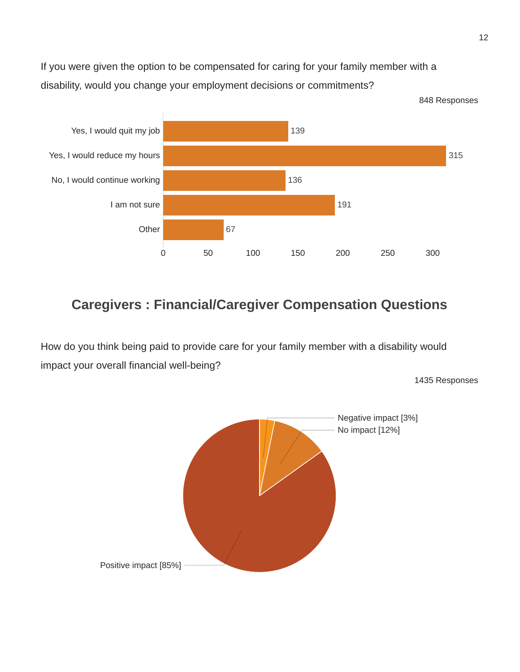If you were given the option to be compensated for caring for your family member with a disability, would you change your employment decisions or commitments?



## **Caregivers : Financial/Caregiver Compensation Questions**

How do you think being paid to provide care for your family member with a disability would impact your overall financial well-being?

1435 Responses